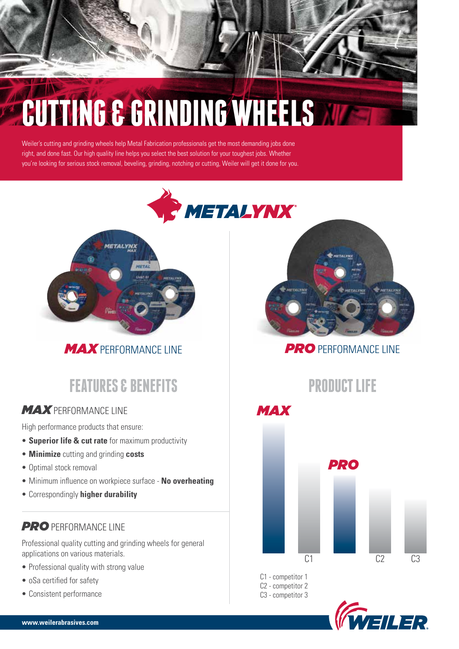# **CUTTING & GRINDING WHEELS**

Weiler's cutting and grinding wheels help Metal Fabrication professionals get the most demanding jobs done right, and done fast. Our high quality line helps you select the best solution for your toughest jobs. Whether you're looking for serious stock removal, beveling, grinding, notching or cutting, Weiler will get it done for you.





*MAX* PERFORMANCE LINE

# **FEATURES & BENEFITS PRODUCT LIFE**

# *MAX* PERFORMANCE LINE

High performance products that ensure:

- **Superior life & cut rate** for maximum productivity
- **Minimize** cutting and grinding **costs**
- Optimal stock removal
- Minimum influence on workpiece surface **No overheating**
- Correspondingly **higher durability**

### **PRO** PERFORMANCE LINE

Professional quality cutting and grinding wheels for general applications on various materials.

- Professional quality with strong value
- oSa certified for safety
- Consistent performance



# **PRO** PERFORMANCE LINE



C1 - competitor 1 C2 - competitor 2 C3 - competitor 3